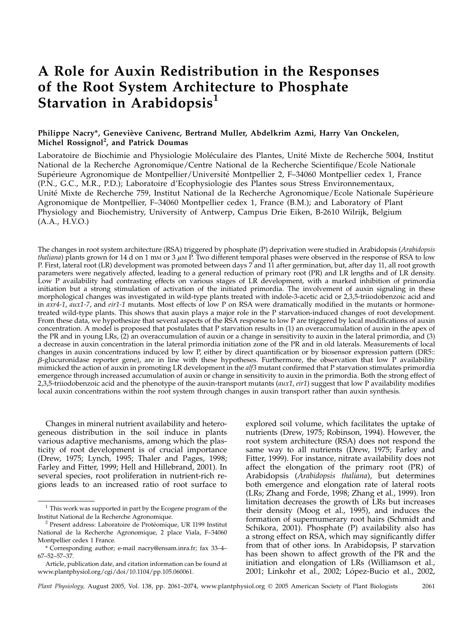# A Role for Auxin Redistribution in the Responses of the Root System Architecture to Phosphate Starvation in Arabidopsis $<sup>1</sup>$ </sup>

# Philippe Nacry\*, Geneviève Canivenc, Bertrand Muller, Abdelkrim Azmi, Harry Van Onckelen, Michel Rossignol<sup>2</sup>, and Patrick Doumas

Laboratoire de Biochimie and Physiologie Moléculaire des Plantes, Unité Mixte de Recherche 5004, Institut National de la Recherche Agronomique/Centre National de la Recherche Scientifique/Ecole Nationale Supérieure Agronomique de Montpellier/Université Montpellier 2, F-34060 Montpellier cedex 1, France (P.N., G.C., M.R., P.D.); Laboratoire d'Ecophysiologie des Plantes sous Stress Environnementaux, Unité Mixte de Recherche 759, Institut National de la Recherche Agronomique/Ecole Nationale Supérieure Agronomique de Montpellier, F–34060 Montpellier cedex 1, France (B.M.); and Laboratory of Plant Physiology and Biochemistry, University of Antwerp, Campus Drie Eiken, B-2610 Wilrijk, Belgium (A.A., H.V.O.)

The changes in root system architecture (RSA) triggered by phosphate (P) deprivation were studied in Arabidopsis (Arabidopsis *thaliana*) plants grown for 14 d on 1 mm or 3  $\mu$ m P. Two different temporal phases were observed in the response of RSA to low P. First, lateral root (LR) development was promoted between days 7 and 11 after germination, but, after day 11, all root growth parameters were negatively affected, leading to a general reduction of primary root (PR) and LR lengths and of LR density. Low P availability had contrasting effects on various stages of LR development, with a marked inhibition of primordia initiation but a strong stimulation of activation of the initiated primordia. The involvement of auxin signaling in these morphological changes was investigated in wild-type plants treated with indole-3-acetic acid or 2,3,5-triiodobenzoic acid and in axr4-1, aux1-7, and eir1-1 mutants. Most effects of low P on RSA were dramatically modified in the mutants or hormonetreated wild-type plants. This shows that auxin plays a major role in the P starvation-induced changes of root development. From these data, we hypothesize that several aspects of the RSA response to low P are triggered by local modifications of auxin concentration. A model is proposed that postulates that P starvation results in (1) an overaccumulation of auxin in the apex of the PR and in young LRs, (2) an overaccumulation of auxin or a change in sensitivity to auxin in the lateral primordia, and (3) a decrease in auxin concentration in the lateral primordia initiation zone of the PR and in old laterals. Measurements of local changes in auxin concentrations induced by low P, either by direct quantification or by biosensor expression pattern (DR5::  $\beta$ -glucuronidase reporter gene), are in line with these hypotheses. Furthermore, the observation that low P availability mimicked the action of auxin in promoting LR development in the alf3 mutant confirmed that P starvation stimulates primordia emergence through increased accumulation of auxin or change in sensitivity to auxin in the primordia. Both the strong effect of 2,3,5-triiodobenzoic acid and the phenotype of the auxin-transport mutants ( $aux1$ ,  $eir1$ ) suggest that low P availability modifies local auxin concentrations within the root system through changes in auxin transport rather than auxin synthesis.

Changes in mineral nutrient availability and heterogeneous distribution in the soil induce in plants various adaptive mechanisms, among which the plasticity of root development is of crucial importance (Drew, 1975; Lynch, 1995; Thaler and Pages, 1998; Farley and Fitter, 1999; Hell and Hillebrand, 2001). In several species, root proliferation in nutrient-rich regions leads to an increased ratio of root surface to explored soil volume, which facilitates the uptake of nutrients (Drew, 1975; Robinson, 1994). However, the root system architecture (RSA) does not respond the same way to all nutrients (Drew, 1975; Farley and Fitter, 1999). For instance, nitrate availability does not affect the elongation of the primary root (PR) of Arabidopsis (Arabidopsis thaliana), but determines both emergence and elongation rate of lateral roots (LRs; Zhang and Forde, 1998; Zhang et al., 1999). Iron limitation decreases the growth of LRs but increases their density (Moog et al., 1995), and induces the formation of supernumerary root hairs (Schmidt and Schikora, 2001). Phosphate (P) availability also has a strong effect on RSA, which may significantly differ from that of other ions. In Arabidopsis, P starvation has been shown to affect growth of the PR and the initiation and elongation of LRs (Williamson et al., 2001; Linkohr et al., 2002; López-Bucio et al., 2002,

 $^{\rm 1}$  This work was supported in part by the Ecogene program of the Institut National de la Recherche Agronomique.

 $^2$  Present address: Laboratoire de Protéomique, UR 1199 Institut National de la Recherche Agronomique, 2 place Viala, F–34060 Montpellier cedex 1 France.

<sup>\*</sup> Corresponding author; e-mail nacry@ensam.inra.fr; fax 33–4– 67–52–57–37.

Article, publication date, and citation information can be found at www.plantphysiol.org/cgi/doi/10.1104/pp.105.060061.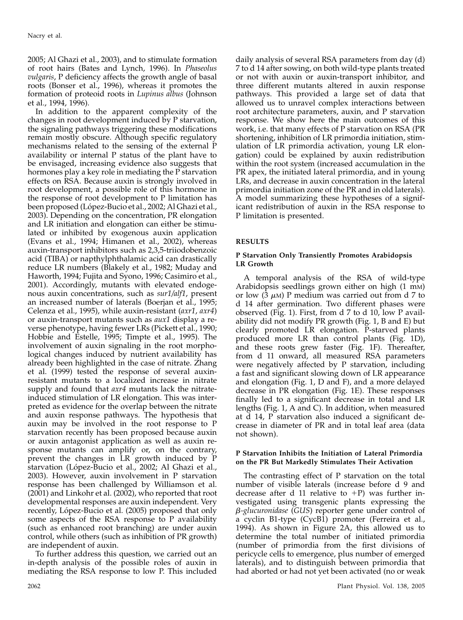2005; Al Ghazi et al., 2003), and to stimulate formation of root hairs (Bates and Lynch, 1996). In Phaseolus vulgaris, P deficiency affects the growth angle of basal roots (Bonser et al., 1996), whereas it promotes the formation of proteoid roots in Lupinus albus (Johnson et al., 1994, 1996).

In addition to the apparent complexity of the changes in root development induced by P starvation, the signaling pathways triggering these modifications remain mostly obscure. Although specific regulatory mechanisms related to the sensing of the external P availability or internal P status of the plant have to be envisaged, increasing evidence also suggests that hormones play a key role in mediating the P starvation effects on RSA. Because auxin is strongly involved in root development, a possible role of this hormone in the response of root development to P limitation has been proposed (López-Bucio et al., 2002; Al Ghazi et al., 2003). Depending on the concentration, PR elongation and LR initiation and elongation can either be stimulated or inhibited by exogenous auxin application (Evans et al., 1994; Himanen et al., 2002), whereas auxin-transport inhibitors such as 2,3,5-triiodobenzoic acid (TIBA) or napthylphthalamic acid can drastically reduce LR numbers (Blakely et al., 1982; Muday and Haworth, 1994; Fujita and Syono, 1996; Casimiro et al., 2001). Accordingly, mutants with elevated endogenous auxin concentrations, such as sur1/alf1, present an increased number of laterals (Boerjan et al., 1995; Celenza et al., 1995), while auxin-resistant (axr1, axr4) or auxin-transport mutants such as aux1 display a reverse phenotype, having fewer LRs (Pickett et al., 1990; Hobbie and Estelle, 1995; Timpte et al., 1995). The involvement of auxin signaling in the root morphological changes induced by nutrient availability has already been highlighted in the case of nitrate. Zhang et al. (1999) tested the response of several auxinresistant mutants to a localized increase in nitrate supply and found that *axr4* mutants lack the nitrateinduced stimulation of LR elongation. This was interpreted as evidence for the overlap between the nitrate and auxin response pathways. The hypothesis that auxin may be involved in the root response to P starvation recently has been proposed because auxin or auxin antagonist application as well as auxin response mutants can amplify or, on the contrary, prevent the changes in LR growth induced by P starvation (López-Bucio et al., 2002; Al Ghazi et al., 2003). However, auxin involvement in P starvation response has been challenged by Williamson et al. (2001) and Linkohr et al. (2002), who reported that root developmental responses are auxin independent. Very recently, López-Bucio et al. (2005) proposed that only some aspects of the RSA response to P availability (such as enhanced root branching) are under auxin control, while others (such as inhibition of PR growth) are independent of auxin.

To further address this question, we carried out an in-depth analysis of the possible roles of auxin in mediating the RSA response to low P. This included

daily analysis of several RSA parameters from day (d) 7 to d 14 after sowing, on both wild-type plants treated or not with auxin or auxin-transport inhibitor, and three different mutants altered in auxin response pathways. This provided a large set of data that allowed us to unravel complex interactions between root architecture parameters, auxin, and P starvation response. We show here the main outcomes of this work, i.e. that many effects of P starvation on RSA (PR shortening, inhibition of LR primordia initiation, stimulation of LR primordia activation, young LR elongation) could be explained by auxin redistribution within the root system (increased accumulation in the PR apex, the initiated lateral primordia, and in young LRs, and decrease in auxin concentration in the lateral primordia initiation zone of the PR and in old laterals). A model summarizing these hypotheses of a significant redistribution of auxin in the RSA response to P limitation is presented.

# RESULTS

# P Starvation Only Transiently Promotes Arabidopsis LR Growth

A temporal analysis of the RSA of wild-type Arabidopsis seedlings grown either on high (1 mM) or low  $(3 \mu)$  P medium was carried out from d 7 to d 14 after germination. Two different phases were observed (Fig. 1). First, from d 7 to d 10, low P availability did not modify PR growth (Fig. 1, B and E) but clearly promoted LR elongation. P-starved plants produced more LR than control plants (Fig. 1D), and these roots grew faster (Fig. 1F). Thereafter, from d 11 onward, all measured RSA parameters were negatively affected by P starvation, including a fast and significant slowing down of LR appearance and elongation (Fig. 1, D and F), and a more delayed decrease in PR elongation (Fig. 1E). These responses finally led to a significant decrease in total and LR lengths (Fig. 1, A and C). In addition, when measured at d 14, P starvation also induced a significant decrease in diameter of PR and in total leaf area (data not shown).

## P Starvation Inhibits the Initiation of Lateral Primordia on the PR But Markedly Stimulates Their Activation

The contrasting effect of P starvation on the total number of visible laterals (increase before d 9 and decrease after d 11 relative to  $+P$ ) was further investigated using transgenic plants expressing the  $\beta$ -glucuronidase (GUS) reporter gene under control of a cyclin B1-type (CycB1) promoter (Ferreira et al., 1994). As shown in Figure 2A, this allowed us to determine the total number of initiated primordia (number of primordia from the first divisions of pericycle cells to emergence, plus number of emerged laterals), and to distinguish between primordia that had aborted or had not yet been activated (no or weak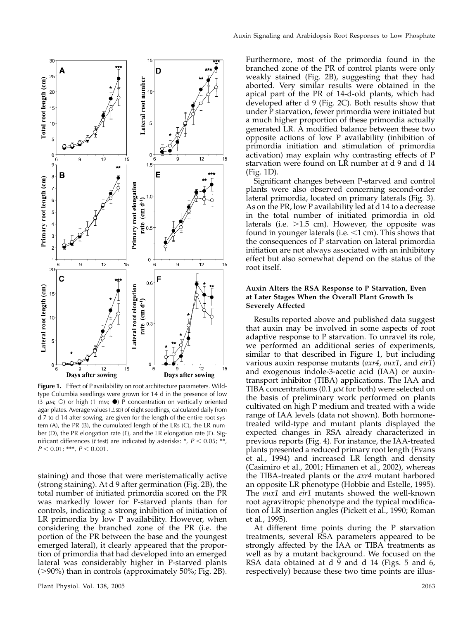

Figure 1. Effect of P availability on root architecture parameters. Wildtype Columbia seedlings were grown for 14 d in the presence of low (3  $\mu$ M;  $\circ$ ) or high (1 mM;  $\bullet$ ) P concentration on vertically oriented agar plates. Average values ( $\pm$ sD) of eight seedlings, calculated daily from d 7 to d 14 after sowing, are given for the length of the entire root system (A), the PR (B), the cumulated length of the LRs (C), the LR number (D), the PR elongation rate (E), and the LR elongation rate (F). Significant differences (*t* test) are indicated by asterisks: \*,  $P < 0.05$ ; \*\*,  $P < 0.01$ ; \*\*\*,  $P < 0.001$ .

staining) and those that were meristematically active (strong staining). At d 9 after germination (Fig. 2B), the total number of initiated primordia scored on the PR was markedly lower for P-starved plants than for controls, indicating a strong inhibition of initiation of LR primordia by low P availability. However, when considering the branched zone of the PR (i.e. the portion of the PR between the base and the youngest emerged lateral), it clearly appeared that the proportion of primordia that had developed into an emerged lateral was considerably higher in P-starved plants  $(>90\%)$  than in controls (approximately 50%; Fig. 2B).

Furthermore, most of the primordia found in the branched zone of the PR of control plants were only weakly stained (Fig. 2B), suggesting that they had aborted. Very similar results were obtained in the apical part of the PR of 14-d-old plants, which had developed after d 9 (Fig. 2C). Both results show that under  $\bar{P}$  starvation, fewer primordia were initiated but a much higher proportion of these primordia actually generated LR. A modified balance between these two opposite actions of low P availability (inhibition of primordia initiation and stimulation of primordia activation) may explain why contrasting effects of P starvation were found on LR number at d 9 and d 14 (Fig. 1D).

Significant changes between P-starved and control plants were also observed concerning second-order lateral primordia, located on primary laterals (Fig. 3). As on the PR, low P availability led at d 14 to a decrease in the total number of initiated primordia in old laterals (i.e.  $>1.5$  cm). However, the opposite was found in younger laterals (i.e.  $\leq 1$  cm). This shows that the consequences of P starvation on lateral primordia initiation are not always associated with an inhibitory effect but also somewhat depend on the status of the root itself.

## Auxin Alters the RSA Response to P Starvation, Even at Later Stages When the Overall Plant Growth Is Severely Affected

Results reported above and published data suggest that auxin may be involved in some aspects of root adaptive response to P starvation. To unravel its role, we performed an additional series of experiments, similar to that described in Figure 1, but including various auxin response mutants (axr4, aux1, and eir1) and exogenous indole-3-acetic acid (IAA) or auxintransport inhibitor (TIBA) applications. The IAA and TIBA concentrations (0.1  $\mu$ M for both) were selected on the basis of preliminary work performed on plants cultivated on high P medium and treated with a wide range of IAA levels (data not shown). Both hormonetreated wild-type and mutant plants displayed the expected changes in RSA already characterized in previous reports (Fig. 4). For instance, the IAA-treated plants presented a reduced primary root length (Evans et al., 1994) and increased LR length and density (Casimiro et al., 2001; Himanen et al., 2002), whereas the TIBA-treated plants or the axr4 mutant harbored an opposite LR phenotype (Hobbie and Estelle, 1995). The aux1 and eir1 mutants showed the well-known root agravitropic phenotype and the typical modification of LR insertion angles (Pickett et al., 1990; Roman et al., 1995).

At different time points during the P starvation treatments, several RSA parameters appeared to be strongly affected by the IAA or TIBA treatments as well as by a mutant background. We focused on the RSA data obtained at d 9 and d 14 (Figs. 5 and 6, respectively) because these two time points are illus-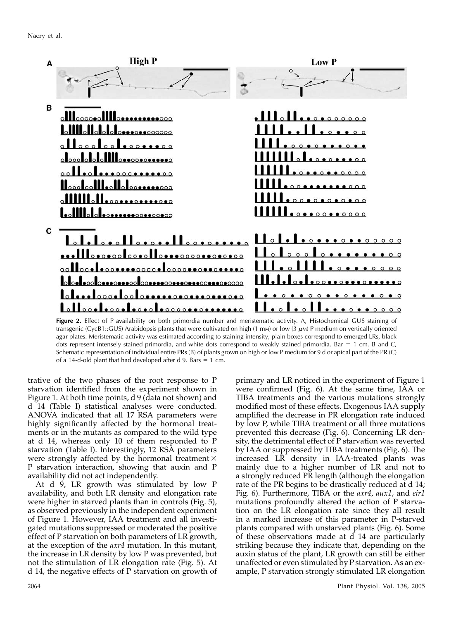

Figure 2. Effect of P availability on both primordia number and meristematic activity. A, Histochemical GUS staining of transgenic (CycB1::GUS) Arabidopsis plants that were cultivated on high (1 mm) or low (3  $\mu$ m) P medium on vertically oriented agar plates. Meristematic activity was estimated according to staining intensity; plain boxes correspond to emerged LRs, black dots represent intensely stained primordia, and white dots correspond to weakly stained primordia. Bar  $= 1$  cm. B and C, Schematic representation of individual entire PRs (B) of plants grown on high or low P medium for 9 d or apical part of the PR (C) of a 14-d-old plant that had developed after d 9. Bars  $= 1$  cm.

trative of the two phases of the root response to P starvation identified from the experiment shown in Figure 1. At both time points, d 9 (data not shown) and d 14 (Table I) statistical analyses were conducted. ANOVA indicated that all 17 RSA parameters were highly significantly affected by the hormonal treatments or in the mutants as compared to the wild type at d 14, whereas only 10 of them responded to P starvation (Table I). Interestingly, 12 RSA parameters were strongly affected by the hormonal treatment  $\times$ P starvation interaction, showing that auxin and P availability did not act independently.

At d 9, LR growth was stimulated by low P availability, and both LR density and elongation rate were higher in starved plants than in controls (Fig. 5), as observed previously in the independent experiment of Figure 1. However, IAA treatment and all investigated mutations suppressed or moderated the positive effect of P starvation on both parameters of LR growth, at the exception of the axr4 mutation. In this mutant, the increase in LR density by low P was prevented, but not the stimulation of LR elongation rate (Fig. 5). At d 14, the negative effects of P starvation on growth of primary and LR noticed in the experiment of Figure 1 were confirmed (Fig. 6). At the same time, IAA or TIBA treatments and the various mutations strongly modified most of these effects. Exogenous IAA supply amplified the decrease in PR elongation rate induced by low P, while TIBA treatment or all three mutations prevented this decrease (Fig. 6). Concerning LR density, the detrimental effect of P starvation was reverted by IAA or suppressed by TIBA treatments (Fig. 6). The increased LR density in IAA-treated plants was mainly due to a higher number of LR and not to a strongly reduced PR length (although the elongation rate of the PR begins to be drastically reduced at d 14; Fig. 6). Furthermore, TIBA or the *axr4*, *aux1*, and *eir1* mutations profoundly altered the action of P starvation on the LR elongation rate since they all result in a marked increase of this parameter in P-starved plants compared with unstarved plants (Fig. 6). Some of these observations made at d 14 are particularly striking because they indicate that, depending on the auxin status of the plant, LR growth can still be either unaffected or even stimulated by P starvation. As an example, P starvation strongly stimulated LR elongation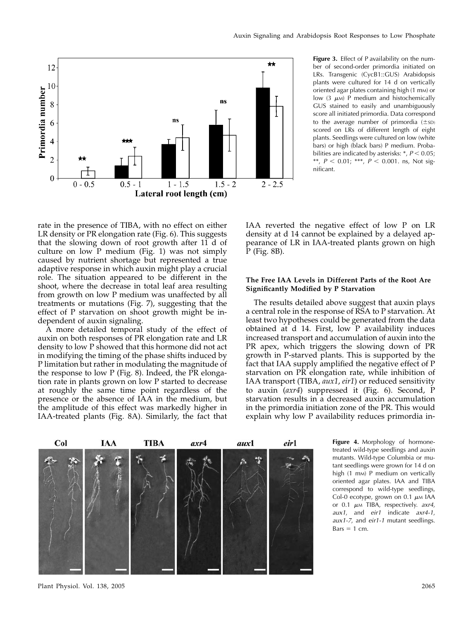

Figure 3. Effect of P availability on the number of second-order primordia initiated on LRs. Transgenic (CycB1::GUS) Arabidopsis plants were cultured for 14 d on vertically oriented agar plates containing high (1 mm) or low (3  $\mu$ M) P medium and histochemically GUS stained to easily and unambiguously score all initiated primordia. Data correspond to the average number of primordia  $(\pm sD)$ scored on LRs of different length of eight plants. Seedlings were cultured on low (white bars) or high (black bars) P medium. Probabilities are indicated by asterisks:  $*$ ,  $P < 0.05$ ; \*\*,  $P < 0.01$ ; \*\*\*,  $P < 0.001$ . ns, Not significant.

rate in the presence of TIBA, with no effect on either LR density or PR elongation rate (Fig. 6). This suggests that the slowing down of root growth after 11 d of culture on low P medium (Fig. 1) was not simply caused by nutrient shortage but represented a true adaptive response in which auxin might play a crucial role. The situation appeared to be different in the shoot, where the decrease in total leaf area resulting from growth on low P medium was unaffected by all treatments or mutations (Fig. 7), suggesting that the effect of P starvation on shoot growth might be independent of auxin signaling.

A more detailed temporal study of the effect of auxin on both responses of PR elongation rate and LR density to low P showed that this hormone did not act in modifying the timing of the phase shifts induced by P limitation but rather in modulating the magnitude of the response to low P (Fig. 8). Indeed, the PR elongation rate in plants grown on low P started to decrease at roughly the same time point regardless of the presence or the absence of IAA in the medium, but the amplitude of this effect was markedly higher in IAA-treated plants (Fig. 8A). Similarly, the fact that IAA reverted the negative effect of low P on LR density at d 14 cannot be explained by a delayed appearance of LR in IAA-treated plants grown on high P (Fig. 8B).

## The Free IAA Levels in Different Parts of the Root Are Significantly Modified by P Starvation

The results detailed above suggest that auxin plays a central role in the response of RSA to P starvation. At least two hypotheses could be generated from the data obtained at d 14. First, low P availability induces increased transport and accumulation of auxin into the PR apex, which triggers the slowing down of PR growth in P-starved plants. This is supported by the fact that IAA supply amplified the negative effect of P starvation on PR elongation rate, while inhibition of IAA transport (TIBA, aux1, eir1) or reduced sensitivity to auxin (axr4) suppressed it (Fig. 6). Second, P starvation results in a decreased auxin accumulation in the primordia initiation zone of the PR. This would explain why low P availability reduces primordia in-



Figure 4. Morphology of hormonetreated wild-type seedlings and auxin mutants. Wild-type Columbia or mutant seedlings were grown for 14 d on high (1 m<sub>M</sub>) P medium on vertically oriented agar plates. IAA and TIBA correspond to wild-type seedlings, Col-0 ecotype, grown on 0.1  $\mu$ M IAA or 0.1  $\mu$ M TIBA, respectively. axr4, aux1, and eir1 indicate axr4-1, aux1-7, and eir1-1 mutant seedlings.  $Bars = 1 cm$ .

Plant Physiol. Vol. 138, 2005 2065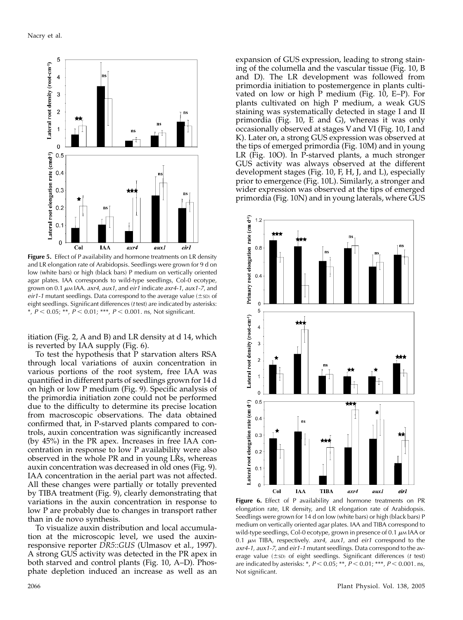

Figure 5. Effect of P availability and hormone treatments on LR density and LR elongation rate of Arabidopsis. Seedlings were grown for 9 d on low (white bars) or high (black bars) P medium on vertically oriented agar plates. IAA corresponds to wild-type seedlings, Col-0 ecotype, grown on 0.1  $\mu$ M IAA.  $axr4$ ,  $aux1$ , and  $eir1$  indicate  $axr4-1$ ,  $aux1-7$ , and eir1-1 mutant seedlings. Data correspond to the average value  $(\pm$ sD) of eight seedlings. Significant differences (t test) are indicated by asterisks: \*,  $P < 0.05$ ; \*\*,  $P < 0.01$ ; \*\*\*,  $P < 0.001$ . ns, Not significant.

itiation (Fig. 2, A and B) and LR density at d 14, which is reverted by IAA supply (Fig. 6).

To test the hypothesis that P starvation alters RSA through local variations of auxin concentration in various portions of the root system, free IAA was quantified in different parts of seedlings grown for 14 d on high or low P medium (Fig. 9). Specific analysis of the primordia initiation zone could not be performed due to the difficulty to determine its precise location from macroscopic observations. The data obtained confirmed that, in P-starved plants compared to controls, auxin concentration was significantly increased (by 45%) in the PR apex. Increases in free IAA concentration in response to low P availability were also observed in the whole PR and in young LRs, whereas auxin concentration was decreased in old ones (Fig. 9). IAA concentration in the aerial part was not affected. All these changes were partially or totally prevented by TIBA treatment (Fig. 9), clearly demonstrating that variations in the auxin concentration in response to low P are probably due to changes in transport rather than in de novo synthesis.

To visualize auxin distribution and local accumulation at the microscopic level, we used the auxinresponsive reporter DR5::GUS (Ulmasov et al., 1997). A strong GUS activity was detected in the PR apex in both starved and control plants (Fig. 10, A–D). Phosphate depletion induced an increase as well as an

expansion of GUS expression, leading to strong staining of the columella and the vascular tissue (Fig. 10, B and D). The LR development was followed from primordia initiation to postemergence in plants cultivated on low or high P medium (Fig. 10, E–P). For plants cultivated on high P medium, a weak GUS staining was systematically detected in stage I and II primordia (Fig. 10, E and G), whereas it was only occasionally observed at stages V and VI (Fig. 10, I and K). Later on, a strong GUS expression was observed at the tips of emerged primordia (Fig. 10M) and in young LR (Fig. 10O). In P-starved plants, a much stronger GUS activity was always observed at the different development stages (Fig. 10, F, H, J, and L), especially prior to emergence (Fig. 10L). Similarly, a stronger and wider expression was observed at the tips of emerged primordia (Fig. 10N) and in young laterals, where GUS



Figure 6. Effect of P availability and hormone treatments on PR elongation rate, LR density, and LR elongation rate of Arabidopsis. Seedlings were grown for 14 d on low (white bars) or high (black bars) P medium on vertically oriented agar plates. IAA and TIBA correspond to wild-type seedlings, Col-0 ecotype, grown in presence of 0.1  $\mu$ M IAA or 0.1  $\mu$ M TIBA, respectively. axr4, aux1, and eir1 correspond to the axr4-1, aux1-7, and eir1-1 mutant seedlings. Data correspond to the average value  $(\pm s_D)$  of eight seedlings. Significant differences (t test) are indicated by asterisks: \*,  $P < 0.05$ ; \*\*,  $P < 0.01$ ; \*\*\*,  $P < 0.001$ . ns, Not significant.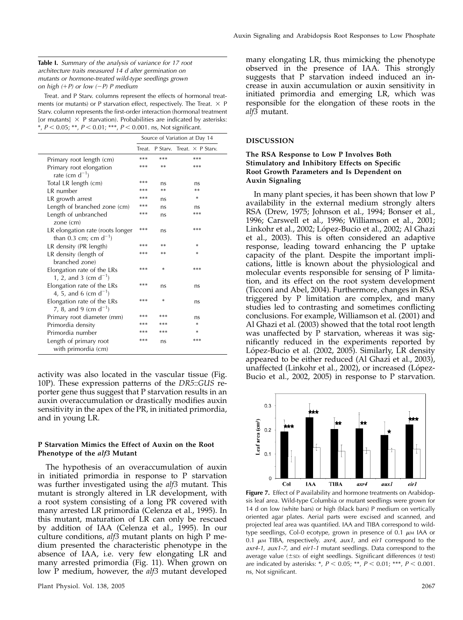### Table I. Summary of the analysis of variance for 17 root architecture traits measured 14 d after germination on mutants or hormone-treated wild-type seedlings grown on high  $(+P)$  or low  $(-P)$  P medium

Treat. and P Starv. columns represent the effects of hormonal treatments (or mutants) or P starvation effect, respectively. The Treat.  $\times$  P Starv. column represents the first-order interaction (hormonal treatment [or mutants]  $\times$  P starvation). Probabilities are indicated by asterisks: \*,  $P < 0.05$ ; \*\*,  $P < 0.01$ ; \*\*\*,  $P < 0.001$ . ns, Not significant.

|                                                                | Source of Variation at Day 14 |        |                                          |
|----------------------------------------------------------------|-------------------------------|--------|------------------------------------------|
|                                                                |                               |        | Treat. P Stary. Treat. $\times$ P Stary. |
| Primary root length (cm)                                       | $***$                         | $***$  | $***$                                    |
| Primary root elongation<br>rate (cm $d^{-1}$ )                 | ***                           | **     | ***                                      |
| Total LR length (cm)                                           | ***                           | ns     | ns                                       |
| LR number                                                      | $***$                         | $**$   | $**$                                     |
| LR growth arrest                                               | $***$                         | ns     | ×                                        |
| Length of branched zone (cm)                                   | $***$                         | ns     | ns                                       |
| Length of unbranched<br>zone $(cm)$                            | $***$                         | ns     | $***$                                    |
| LR elongation rate (roots longer<br>than 0.3 cm; cm $d^{-1}$ ) | ***                           | ns     | ***                                      |
| LR density (PR length)                                         | $***$                         | $**$   | *                                        |
| LR density (length of<br>branched zone)                        | ***                           | **     | *                                        |
| Elongation rate of the LRs<br>1, 2, and 3 (cm $d^{-1}$ )       | ***                           | $\ast$ | ***                                      |
| Elongation rate of the LRs<br>4, 5, and 6 (cm $d^{-1}$ )       | $***$                         | ns     | ns                                       |
| Elongation rate of the LRs<br>7, 8, and 9 (cm $d^{-1}$ )       | ***                           | *      | ns                                       |
| Primary root diameter (mm)                                     | ***                           | ***    | ns                                       |
| Primordia density                                              | $***$                         | $***$  | ×                                        |
| Primordia number                                               | $***$                         | $***$  | ×                                        |
| Length of primary root<br>with primordia (cm)                  | ***                           | ns     | ***                                      |

activity was also located in the vascular tissue (Fig. 10P). These expression patterns of the DR5::GUS reporter gene thus suggest that P starvation results in an auxin overaccumulation or drastically modifies auxin sensitivity in the apex of the PR, in initiated primordia, and in young LR.

# P Starvation Mimics the Effect of Auxin on the Root Phenotype of the alf3 Mutant

The hypothesis of an overaccumulation of auxin in initiated primordia in response to P starvation was further investigated using the alf3 mutant. This mutant is strongly altered in LR development, with a root system consisting of a long PR covered with many arrested LR primordia (Celenza et al., 1995). In this mutant, maturation of LR can only be rescued by addition of IAA (Celenza et al., 1995). In our culture conditions,  $\alpha l/3$  mutant plants on high P medium presented the characteristic phenotype in the absence of IAA, i.e. very few elongating LR and many arrested primordia (Fig. 11). When grown on low P medium, however, the *alf3* mutant developed

many elongating LR, thus mimicking the phenotype observed in the presence of IAA. This strongly suggests that P starvation indeed induced an increase in auxin accumulation or auxin sensitivity in initiated primordia and emerging LR, which was responsible for the elongation of these roots in the alf3 mutant.

#### DISCUSSION

# The RSA Response to Low P Involves Both Stimulatory and Inhibitory Effects on Specific Root Growth Parameters and Is Dependent on Auxin Signaling

In many plant species, it has been shown that low P availability in the external medium strongly alters RSA (Drew, 1975; Johnson et al., 1994; Bonser et al., 1996; Carswell et al., 1996; Williamson et al., 2001; Linkohr et al., 2002; López-Bucio et al., 2002; Al Ghazi et al., 2003). This is often considered an adaptive response, leading toward enhancing the P uptake capacity of the plant. Despite the important implications, little is known about the physiological and molecular events responsible for sensing of P limitation, and its effect on the root system development (Ticconi and Abel, 2004). Furthermore, changes in RSA triggered by P limitation are complex, and many studies led to contrasting and sometimes conflicting conclusions. For example, Williamson et al. (2001) and Al Ghazi et al. (2003) showed that the total root length was unaffected by P starvation, whereas it was significantly reduced in the experiments reported by López-Bucio et al. (2002, 2005). Similarly, LR density appeared to be either reduced (Al Ghazi et al., 2003), unaffected (Linkohr et al., 2002), or increased (López-Bucio et al., 2002, 2005) in response to P starvation.



Figure 7. Effect of P availability and hormone treatments on Arabidopsis leaf area. Wild-type Columbia or mutant seedlings were grown for 14 d on low (white bars) or high (black bars) P medium on vertically oriented agar plates. Aerial parts were excised and scanned, and projected leaf area was quantified. IAA and TIBA correspond to wildtype seedlings, Col-0 ecotype, grown in presence of 0.1  $\mu$ M IAA or 0.1  $\mu$ M TIBA, respectively.  $axr4$ ,  $aux1$ , and  $eir1$  correspond to the axr4-1, aux1-7, and eir1-1 mutant seedlings. Data correspond to the average value  $(\pm s_D)$  of eight seedlings. Significant differences (t test) are indicated by asterisks: \*,  $P < 0.05$ ; \*\*,  $P < 0.01$ ; \*\*\*,  $P < 0.001$ . ns, Not significant.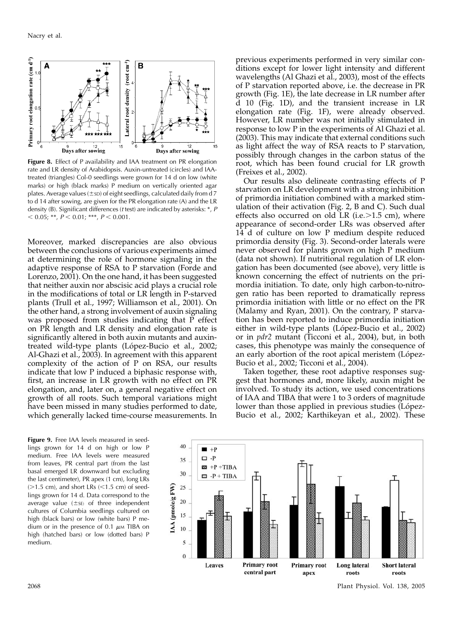

Figure 8. Effect of P availability and IAA treatment on PR elongation rate and LR density of Arabidopsis. Auxin-untreated (circles) and IAAtreated (triangles) Col-0 seedlings were grown for 14 d on low (white marks) or high (black marks) P medium on vertically oriented agar plates. Average values ( $\pm$ sp) of eight seedlings, calculated daily from d 7 to d 14 after sowing, are given for the PR elongation rate (A) and the LR density (B). Significant differences (t test) are indicated by asterisks: \*, P  $< 0.05;$  \*\*,  $P < 0.01;$  \*\*\*,  $P < 0.001$ .

Moreover, marked discrepancies are also obvious between the conclusions of various experiments aimed at determining the role of hormone signaling in the adaptive response of RSA to P starvation (Forde and Lorenzo, 2001). On the one hand, it has been suggested that neither auxin nor abscisic acid plays a crucial role in the modifications of total or LR length in P-starved plants (Trull et al., 1997; Williamson et al., 2001). On the other hand, a strong involvement of auxin signaling was proposed from studies indicating that P effect on PR length and LR density and elongation rate is significantly altered in both auxin mutants and auxintreated wild-type plants (López-Bucio et al., 2002; Al-Ghazi et al., 2003). In agreement with this apparent complexity of the action of P on RSA, our results indicate that low P induced a biphasic response with, first, an increase in LR growth with no effect on PR elongation, and, later on, a general negative effect on growth of all roots. Such temporal variations might have been missed in many studies performed to date, which generally lacked time-course measurements. In

Figure 9. Free IAA levels measured in seedlings grown for 14 d on high or low P medium. Free IAA levels were measured from leaves, PR central part (from the last basal emerged LR downward but excluding the last centimeter), PR apex (1 cm), long LRs  $(>1.5$  cm), and short LRs  $(<1.5$  cm) of seedlings grown for 14 d. Data correspond to the average value  $(\pm s)$  of three independent cultures of Columbia seedlings cultured on high (black bars) or low (white bars) P medium or in the presence of 0.1  $\mu$ M TIBA on high (hatched bars) or low (dotted bars) P medium.

previous experiments performed in very similar conditions except for lower light intensity and different wavelengths (Al Ghazi et al., 2003), most of the effects of P starvation reported above, i.e. the decrease in PR growth (Fig. 1E), the late decrease in LR number after d 10 (Fig. 1D), and the transient increase in LR elongation rate (Fig. 1F), were already observed. However, LR number was not initially stimulated in response to low P in the experiments of Al Ghazi et al. (2003). This may indicate that external conditions such as light affect the way of RSA reacts to P starvation, possibly through changes in the carbon status of the root, which has been found crucial for LR growth (Freixes et al., 2002).

Our results also delineate contrasting effects of P starvation on LR development with a strong inhibition of primordia initiation combined with a marked stimulation of their activation (Fig. 2, B and C). Such dual effects also occurred on old LR (i.e. $>1.5$  cm), where appearance of second-order LRs was observed after 14 d of culture on low P medium despite reduced primordia density (Fig. 3). Second-order laterals were never observed for plants grown on high P medium (data not shown). If nutritional regulation of LR elongation has been documented (see above), very little is known concerning the effect of nutrients on the primordia initiation. To date, only high carbon-to-nitrogen ratio has been reported to dramatically repress primordia initiation with little or no effect on the PR (Malamy and Ryan, 2001). On the contrary, P starvation has been reported to induce primordia initiation either in wild-type plants (López-Bucio et al., 2002) or in *pdr2* mutant (Ticconi et al., 2004), but, in both cases, this phenotype was mainly the consequence of an early abortion of the root apical meristem (López-Bucio et al., 2002; Ticconi et al., 2004).

Taken together, these root adaptive responses suggest that hormones and, more likely, auxin might be involved. To study its action, we used concentrations of IAA and TIBA that were 1 to 3 orders of magnitude lower than those applied in previous studies (López-Bucio et al., 2002; Karthikeyan et al., 2002). These



2068 Plant Physiol. Vol. 138, 2005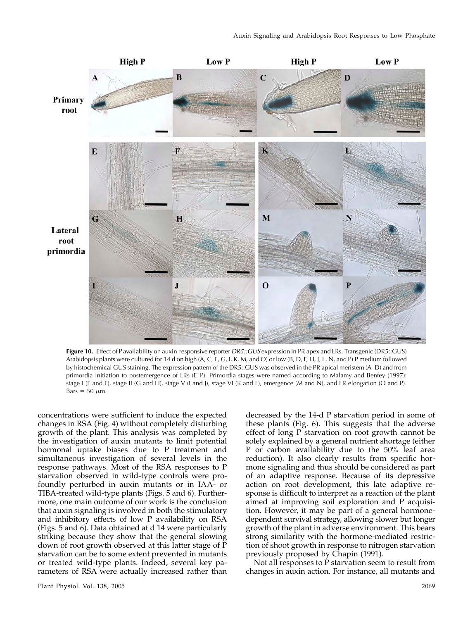

Figure 10. Effect of P availability on auxin-responsive reporter DR5::GUS expression in PR apex and LRs. Transgenic (DR5::GUS) Arabidopsis plants were cultured for 14 d on high (A, C, E, G, I, K, M, and O) or low (B, D, F, H, J, L, N, and P) P medium followed by histochemical GUS staining. The expression pattern of the DR5::GUS was observed in the PR apical meristem (A–D) and from primordia initiation to postemergence of LRs (E–P). Primordia stages were named according to Malamy and Benfey (1997): stage I (E and F), stage II (G and H), stage V (I and J), stage VI (K and L), emergence (M and N), and LR elongation (O and P). Bars = 50  $\mu$ m.

concentrations were sufficient to induce the expected changes in RSA (Fig. 4) without completely disturbing growth of the plant. This analysis was completed by the investigation of auxin mutants to limit potential hormonal uptake biases due to P treatment and simultaneous investigation of several levels in the response pathways. Most of the RSA responses to P starvation observed in wild-type controls were profoundly perturbed in auxin mutants or in IAA- or TIBA-treated wild-type plants (Figs. 5 and 6). Furthermore, one main outcome of our work is the conclusion that auxin signaling is involved in both the stimulatory and inhibitory effects of low P availability on RSA (Figs. 5 and 6). Data obtained at d 14 were particularly striking because they show that the general slowing down of root growth observed at this latter stage of  $\tilde{P}$ starvation can be to some extent prevented in mutants or treated wild-type plants. Indeed, several key parameters of RSA were actually increased rather than

Plant Physiol. Vol. 138, 2005 2069

decreased by the 14-d P starvation period in some of these plants (Fig. 6). This suggests that the adverse effect of long P starvation on root growth cannot be solely explained by a general nutrient shortage (either P or carbon availability due to the 50% leaf area reduction). It also clearly results from specific hormone signaling and thus should be considered as part of an adaptive response. Because of its depressive action on root development, this late adaptive response is difficult to interpret as a reaction of the plant aimed at improving soil exploration and P acquisition. However, it may be part of a general hormonedependent survival strategy, allowing slower but longer growth of the plant in adverse environment. This bears strong similarity with the hormone-mediated restriction of shoot growth in response to nitrogen starvation previously proposed by Chapin (1991).

Not all responses to P starvation seem to result from changes in auxin action. For instance, all mutants and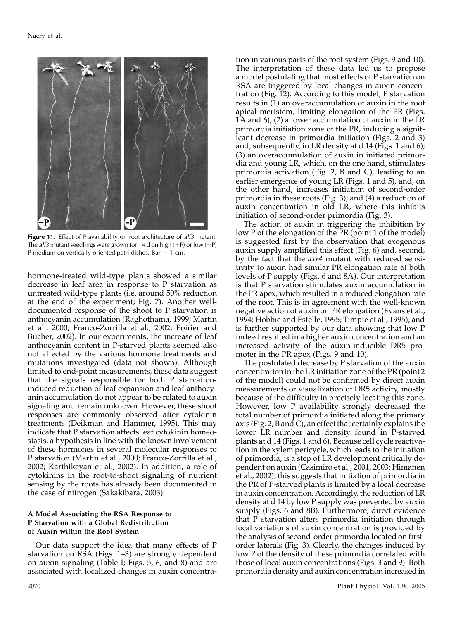

Figure 11. Effect of P availability on root architecture of alf3 mutant. The *alf3* mutant seedlings were grown for 14 d on high  $(+P)$  or low  $(-P)$ P medium on vertically oriented petri dishes. Bar  $= 1$  cm.

hormone-treated wild-type plants showed a similar decrease in leaf area in response to P starvation as untreated wild-type plants (i.e. around 50% reduction at the end of the experiment; Fig. 7). Another welldocumented response of the shoot to P starvation is anthocyanin accumulation (Raghothama, 1999; Martin et al., 2000; Franco-Zorrilla et al., 2002; Poirier and Bucher, 2002). In our experiments, the increase of leaf anthocyanin content in P-starved plants seemed also not affected by the various hormone treatments and mutations investigated (data not shown). Although limited to end-point measurements, these data suggest that the signals responsible for both P starvationinduced reduction of leaf expansion and leaf anthocyanin accumulation do not appear to be related to auxin signaling and remain unknown. However, these shoot responses are commonly observed after cytokinin treatments (Deikman and Hammer, 1995). This may indicate that P starvation affects leaf cytokinin homeostasis, a hypothesis in line with the known involvement of these hormones in several molecular responses to P starvation (Martin et al., 2000; Franco-Zorrilla et al., 2002; Karthikeyan et al., 2002). In addition, a role of cytokinins in the root-to-shoot signaling of nutrient sensing by the roots has already been documented in the case of nitrogen (Sakakibara, 2003).

## A Model Associating the RSA Response to P Starvation with a Global Redistribution of Auxin within the Root System

Our data support the idea that many effects of P starvation on RSA (Figs. 1–3) are strongly dependent on auxin signaling (Table I; Figs. 5, 6, and 8) and are associated with localized changes in auxin concentra-

a model postulating that most effects of P starvation on RSA are triggered by local changes in auxin concentration (Fig. 12). According to this model, P starvation results in (1) an overaccumulation of auxin in the root apical meristem, limiting elongation of the PR (Figs. 1A and 6); (2) a lower accumulation of auxin in the LR primordia initiation zone of the PR, inducing a significant decrease in primordia initiation (Figs. 2 and 3) and, subsequently, in LR density at d 14 (Figs. 1 and 6); (3) an overaccumulation of auxin in initiated primordia and young LR, which, on the one hand, stimulates primordia activation (Fig. 2, B and C), leading to an earlier emergence of young LR (Figs. 1 and 5), and, on the other hand, increases initiation of second-order primordia in these roots (Fig. 3); and (4) a reduction of auxin concentration in old LR, where this inhibits initiation of second-order primordia (Fig. 3). The action of auxin in triggering the inhibition by low P of the elongation of the PR (point 1 of the model)

tion in various parts of the root system (Figs. 9 and 10). The interpretation of these data led us to propose

is suggested first by the observation that exogenous auxin supply amplified this effect (Fig. 6) and, second, by the fact that the *axr4* mutant with reduced sensitivity to auxin had similar PR elongation rate at both levels of P supply (Figs. 6 and 8A). Our interpretation is that P starvation stimulates auxin accumulation in the PR apex, which resulted in a reduced elongation rate of the root. This is in agreement with the well-known negative action of auxin on PR elongation (Evans et al., 1994; Hobbie and Estelle, 1995; Timpte et al., 1995), and is further supported by our data showing that low P indeed resulted in a higher auxin concentration and an increased activity of the auxin-inducible DR5 promoter in the PR apex (Figs. 9 and 10).

The postulated decrease by P starvation of the auxin concentration in the LR initiation zone of the PR (point 2 of the model) could not be confirmed by direct auxin measurements or visualization of DR5 activity, mostly because of the difficulty in precisely locating this zone. However, low P availability strongly decreased the total number of primordia initiated along the primary axis (Fig. 2, B and C), an effect that certainly explains the lower LR number and density found in P-starved plants at d 14 (Figs. 1 and 6). Because cell cycle reactivation in the xylem pericycle, which leads to the initiation of primordia, is a step of LR development critically dependent on auxin (Casimiro et al., 2001, 2003; Himanen et al., 2002), this suggests that initiation of primordia in the PR of P-starved plants is limited by a local decrease in auxin concentration. Accordingly, the reduction of LR density at d 14 by low P supply was prevented by auxin supply (Figs. 6 and 8B). Furthermore, direct evidence that P starvation alters primordia initiation through local variations of auxin concentration is provided by the analysis of second-order primordia located on firstorder laterals (Fig. 3). Clearly, the changes induced by low P of the density of these primordia correlated with those of local auxin concentrations (Figs. 3 and 9). Both primordia density and auxin concentration increased in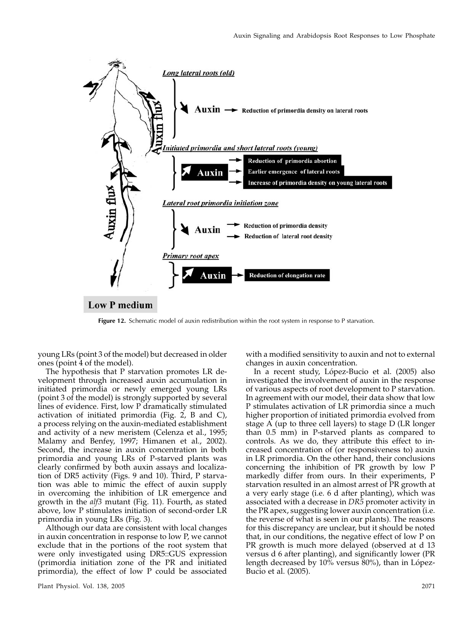

Figure 12. Schematic model of auxin redistribution within the root system in response to P starvation.

young LRs (point 3 of the model) but decreased in older ones (point 4 of the model).

The hypothesis that P starvation promotes LR development through increased auxin accumulation in initiated primordia or newly emerged young LRs (point 3 of the model) is strongly supported by several lines of evidence. First, low P dramatically stimulated activation of initiated primordia (Fig. 2, B and C), a process relying on the auxin-mediated establishment and activity of a new meristem (Celenza et al., 1995; Malamy and Benfey, 1997; Himanen et al., 2002). Second, the increase in auxin concentration in both primordia and young LRs of P-starved plants was clearly confirmed by both auxin assays and localization of DR5 activity (Figs. 9 and 10). Third, P starvation was able to mimic the effect of auxin supply in overcoming the inhibition of LR emergence and growth in the alf3 mutant (Fig. 11). Fourth, as stated above, low P stimulates initiation of second-order LR primordia in young LRs (Fig. 3).

Although our data are consistent with local changes in auxin concentration in response to low P, we cannot exclude that in the portions of the root system that were only investigated using DR5::GUS expression (primordia initiation zone of the PR and initiated primordia), the effect of low P could be associated with a modified sensitivity to auxin and not to external changes in auxin concentration.

In a recent study, López-Bucio et al. (2005) also investigated the involvement of auxin in the response of various aspects of root development to P starvation. In agreement with our model, their data show that low P stimulates activation of LR primordia since a much higher proportion of initiated primordia evolved from stage A (up to three cell layers) to stage D (LR longer than 0.5 mm) in P-starved plants as compared to controls. As we do, they attribute this effect to increased concentration of (or responsiveness to) auxin in LR primordia. On the other hand, their conclusions concerning the inhibition of PR growth by low P markedly differ from ours. In their experiments, P starvation resulted in an almost arrest of PR growth at a very early stage (i.e. 6 d after planting), which was associated with a decrease in DR5 promoter activity in the PR apex, suggesting lower auxin concentration (i.e. the reverse of what is seen in our plants). The reasons for this discrepancy are unclear, but it should be noted that, in our conditions, the negative effect of low P on PR growth is much more delayed (observed at d 13 versus d 6 after planting), and significantly lower (PR length decreased by  $10\%$  versus  $80\%$ ), than in López-Bucio et al. (2005).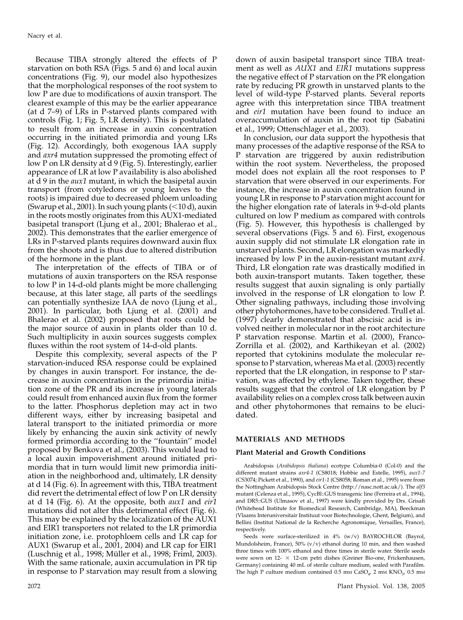Because TIBA strongly altered the effects of P starvation on both RSA (Figs. 5 and 6) and local auxin concentrations (Fig. 9), our model also hypothesizes that the morphological responses of the root system to low P are due to modifications of auxin transport. The clearest example of this may be the earlier appearance (at d 7–9) of LRs in P-starved plants compared with controls (Fig. 1; Fig. 5, LR density). This is postulated to result from an increase in auxin concentration occurring in the initiated primordia and young LRs (Fig. 12). Accordingly, both exogenous IAA supply and *axr4* mutation suppressed the promoting effect of low P on LR density at d 9 (Fig. 5). Interestingly, earlier appearance of LR at low P availability is also abolished at d 9 in the *aux1* mutant, in which the basipetal auxin transport (from cotyledons or young leaves to the roots) is impaired due to decreased phloem unloading (Swarup et al., 2001). In such young plants  $(<10 d)$ , auxin in the roots mostly originates from this AUX1-mediated basipetal transport (Ljung et al., 2001; Bhalerao et al., 2002). This demonstrates that the earlier emergence of LRs in P-starved plants requires downward auxin flux from the shoots and is thus due to altered distribution of the hormone in the plant.

The interpretation of the effects of TIBA or of mutations of auxin transporters on the RSA response to low P in 14-d-old plants might be more challenging because, at this later stage, all parts of the seedlings can potentially synthesize IAA de novo (Ljung et al., 2001). In particular, both Ljung et al. (2001) and Bhalerao et al. (2002) proposed that roots could be the major source of auxin in plants older than 10 d. Such multiplicity in auxin sources suggests complex fluxes within the root system of 14-d-old plants.

Despite this complexity, several aspects of the P starvation-induced RSA response could be explained by changes in auxin transport. For instance, the decrease in auxin concentration in the primordia initiation zone of the PR and its increase in young laterals could result from enhanced auxin flux from the former to the latter. Phosphorus depletion may act in two different ways, either by increasing basipetal and lateral transport to the initiated primordia or more likely by enhancing the auxin sink activity of newly formed primordia according to the ''fountain'' model proposed by Benkova et al., (2003). This would lead to a local auxin impoverishment around initiated primordia that in turn would limit new primordia initiation in the neighborhood and, ultimately, LR density at d 14 (Fig. 6). In agreement with this, TIBA treatment did revert the detrimental effect of low P on LR density at d 14 (Fig. 6). At the opposite, both aux1 and eir1 mutations did not alter this detrimental effect (Fig. 6). This may be explained by the localization of the AUX1 and EIR1 transporters not related to the LR primordia initiation zone, i.e. protophloem cells and LR cap for AUX1 (Swarup et al., 2001, 2004) and LR cap for EIR1 (Luschnig et al., 1998; Müller et al., 1998; Friml, 2003). With the same rationale, auxin accumulation in PR tip in response to P starvation may result from a slowing

down of auxin basipetal transport since TIBA treatment as well as AUX1 and EIR1 mutations suppress the negative effect of P starvation on the PR elongation rate by reducing PR growth in unstarved plants to the level of wild-type P-starved plants. Several reports agree with this interpretation since TIBA treatment and eir1 mutation have been found to induce an overaccumulation of auxin in the root tip (Sabatini et al., 1999; Ottenschlager et al., 2003).

In conclusion, our data support the hypothesis that many processes of the adaptive response of the RSA to P starvation are triggered by auxin redistribution within the root system. Nevertheless, the proposed model does not explain all the root responses to P starvation that were observed in our experiments. For instance, the increase in auxin concentration found in young LR in response to P starvation might account for the higher elongation rate of laterals in 9-d-old plants cultured on low P medium as compared with controls (Fig. 5). However, this hypothesis is challenged by several observations (Figs. 5 and 6). First, exogenous auxin supply did not stimulate LR elongation rate in unstarved plants. Second, LR elongation was markedly increased by low P in the auxin-resistant mutant axr4. Third, LR elongation rate was drastically modified in both auxin-transport mutants. Taken together, these results suggest that auxin signaling is only partially involved in the response of LR elongation to low P. Other signaling pathways, including those involving other phytohormones, have to be considered. Trull et al. (1997) clearly demonstrated that abscisic acid is involved neither in molecular nor in the root architecture P starvation response. Martin et al. (2000), Franco-Zorrilla et al. (2002), and Karthikeyan et al. (2002) reported that cytokinins modulate the molecular response to P starvation, whereas Ma et al. (2003) recently reported that the LR elongation, in response to P starvation, was affected by ethylene. Taken together, these results suggest that the control of LR elongation by P availability relies on a complex cross talk between auxin and other phytohormones that remains to be elucidated.

# MATERIALS AND METHODS

#### Plant Material and Growth Conditions

Arabidopsis (Arabidopsis thaliana) ecotype Columbia-0 (Col-0) and the different mutant strains axr4-1 (CS8018; Hobbie and Estelle, 1995), aux1-7 (CS3074; Pickett et al., 1990), and eir1-1 (CS8058; Roman et al., 1995) were from the Nottingham Arabidopsis Stock Centre (http://nasc.nott.ac.uk/). The alf3 mutant (Celenza et al., 1995), CycBl::GUS transgenic line (Ferreira et al., 1994), and DR5::GUS (Ulmasov et al., 1997) were kindly provided by Drs. Grisafi (Whitehead Institute for Biomedical Research, Cambridge, MA), Beeckman (Vlaams Interuniversitair Instituut voor Biotechnologie, Ghent, Belgium), and Bellini (Institut National de la Recherche Agronomique, Versailles, France), respectively.

Seeds were surface-sterilized in 4% (w/v) BAYROCHLOR (Bayrol, Mundolsheim, France), 50% (v/v) ethanol during 10 min, and then washed three times with 100% ethanol and three times in sterile water. Sterile seeds were sown on 12-  $\times$  12-cm petri dishes (Greiner Bio-one, Frickenhausen, Germany) containing 40 mL of sterile culture medium, sealed with Parafilm. The high P culture medium contained  $0.5$  mm CaSO<sub>4</sub>, 2 mm KNO<sub>3</sub>, 0.5 mm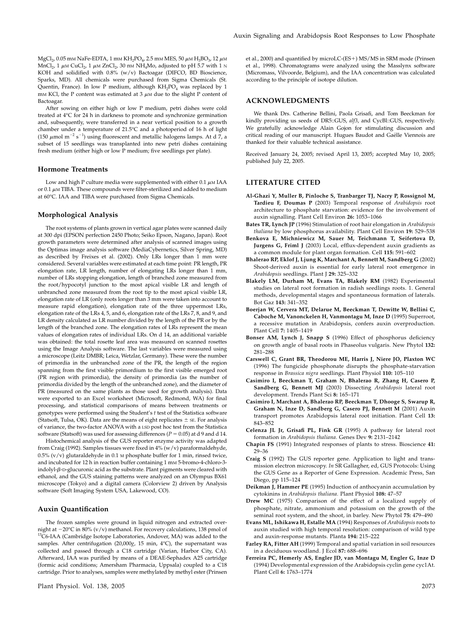$\rm MgCl_{2}$ 0.05 mm NaFe-EDTA, 1 mm  $\rm KH_{2}PO_{4'}$  2.5 mm MES, 50  $\mu$  M  $\rm H_{3}BO_{3'}$  12  $\mu$  M MnCl<sub>2</sub>, 1  $\mu$ M CuCl<sub>2</sub>, 1  $\mu$ M ZnCl<sub>2</sub>, 30 nM NH<sub>4</sub>Mo, adjusted to pH 5.7 with 1 N KOH and solidified with 0.8% (w/v) Bactoagar (DIFCO, BD Bioscience, Sparks, MD). All chemicals were purchased from Sigma Chemicals (St. Quentin, France). In low P medium, although  $KH_2PO_4$  was replaced by 1 mm KCl, the P content was estimated at  $3 \mu$ M due to the slight P content of Bactoagar.

After sowing on either high or low P medium, petri dishes were cold treated at 4°C for 24 h in darkness to promote and synchronize germination and, subsequently, were transferred in a near vertical position to a growth chamber under a temperature of 21.5°C and a photoperiod of 16 h of light (150  $\mu$ mol m<sup>-2</sup> s<sup>-1</sup>) using fluorescent and metallic halogens lamps. At d 7, a subset of 15 seedlings was transplanted into new petri dishes containing fresh medium (either high or low P medium; five seedlings per plate).

#### Hormone Treatments

Low and high P culture media were supplemented with either  $0.1 \mu$ M IAA or 0.1  $\mu$ M TIBA. These compounds were filter-sterilized and added to medium at 60°C. IAA and TIBA were purchased from Sigma Chemicals.

#### Morphological Analysis

The root systems of plants grown in vertical agar plates were scanned daily at 300 dpi (EPSON perfection 2450 Photo; Seiko Epson, Nagano, Japan). Root growth parameters were determined after analysis of scanned images using the Optimas image analysis software (MediaCybernetics, Silver Spring, MD) as described by Freixes et al. (2002). Only LRs longer than 1 mm were considered. Several variables were estimated at each time point: PR length, PR elongation rate, LR length, number of elongating LRs longer than 1 mm, number of LRs stopping elongation, length of branched zone measured from the root/hypocotyl junction to the most apical visible LR and length of unbranched zone measured from the root tip to the most apical visible LR, elongation rate of LR (only roots longer than 3 mm were taken into account to measure rapid elongation), elongation rate of the three uppermost LRs, elongation rate of the LRs 4, 5, and 6, elongation rate of the LRs 7, 8, and 9, and LR density calculated as LR number divided by the length of the PR or by the length of the branched zone. The elongation rates of LRs represent the mean values of elongation rates of individual LRs. On d 14, an additional variable was obtained: the total rosette leaf area was measured on scanned rosettes using the Image Analysis software. The last variables were measured using a microscope (Leitz DMBR; Leica, Wetzlar, Germany). These were the number of primordia in the unbranched zone of the PR, the length of the region spanning from the first visible primordium to the first visible emerged root (PR region with primordia), the density of primordia (as the number of primordia divided by the length of the unbranched zone), and the diameter of PR (measured on the same plants as those used for growth analysis). Data were exported to an Excel worksheet (Microsoft, Redmond, WA) for final processing, and statistical comparisons of means between treatments or genotypes were performed using the Student's t test of the Statistica software (Statsoft, Tulsa, OK). Data are the means of eight replicates  $\pm$  sE. For analysis of variance, the two-factor ANOVA with a LSD post hoc test from the Statistica software (Statsoft) was used for assessing differences ( $P = 0.05$ ) at d 9 and d 14.

Histochemical analysis of the GUS reporter enzyme activity was adapted from Craig (1992). Samples tissues were fixed in 4% (w/v) paraformaldehyde, 0.5% (v/v) glutaraldehyde in 0.1 M phosphate buffer for 1 min, rinsed twice, and incubated for 12 h in reaction buffer containing 1 mM 5-bromo-4-chloro-3 indolyl- $\beta$ -D-glucuronic acid as the substrate. Plant pigments were cleared with ethanol, and the GUS staining patterns were analyzed on an Olympus BX61 microscope (Tokyo) and a digital camera (Colorview 2) driven by Analysis software (Soft Imaging System USA, Lakewood, CO).

#### Auxin Quantification

The frozen samples were ground in liquid nitrogen and extracted overnight at -20°C in 80% (v/v) methanol. For recovery calculations, 138 pmol of  ${}^{13}$ C6-IAA (Cambridge Isotope Laboratories, Andover, MA) was added to the samples. After centrifugation (20,000g, 15 min, 4°C), the supernatant was collected and passed through a C18 cartridge (Varian, Harbor City, CA). Afterward, IAA was purified by means of a DEAE-Sephadex A25 cartridge (formic acid conditions; Amersham Pharmacia, Uppsala) coupled to a C18 cartridge. Prior to analyses, samples were methylated by methyl ester (Prinsen et al., 2000) and quantified by microLC-(ES+) MS/MS in SRM mode (Prinsen et al., 1998). Chromatograms were analyzed using the Masslynx software (Micromass, Vilvoorde, Belgium), and the IAA concentration was calculated according to the principle of isotope dilution.

### ACKNOWLEDGMENTS

We thank Drs. Catherine Bellini, Paola Grisafi, and Tom Beeckman for kindly providing us seeds of DR5::GUS, alf3, and CycBl::GUS, respectively. We gratefully acknowledge Alain Gojon for stimulating discussion and critical reading of our manuscript. Hugues Baudot and Gaëlle Viennois are thanked for their valuable technical assistance.

Received January 24, 2005; revised April 13, 2005; accepted May 10, 2005; published July 22, 2005.

## LITERATURE CITED

- Al-Ghazi Y, Muller B, Pinloche S, Tranbarger TJ, Nacry P, Rossignol M, Tardieu F, Doumas P (2003) Temporal response of Arabidopsis root architecture to phosphate starvation: evidence for the involvement of auxin signalling. Plant Cell Environ 26: 1053–1066
- Bates TR, Lynch JP (1996) Stimulation of root hair elongation in Arabidopsis thaliana by low phosphorus availability. Plant Cell Environ 19: 529–538
- Benkova E, Michniewicz M, Sauer M, Teichmann T, Seifertova D, Jurgens G, Friml J (2003) Local, efflux-dependent auxin gradients as a common module for plant organ formation. Cell 115: 591–602
- Bhalerao RP, Eklof J, Ljung K, Marchant A, Bennett M, Sandberg G (2002) Shoot-derived auxin is essential for early lateral root emergence in Arabidopsis seedlings. Plant J 29: 325–332
- Blakely LM, Durham M, Evans TA, Blakely RM (1982) Experimental studies on lateral root formation in radish seedlings roots. 1. General methods, developmental stages and spontaneous formation of laterals. Bot Gaz 143: 341–352
- Boerjan W, Cervera MT, Delarue M, Beeckman T, Dewitte W, Bellini C, Caboche M, Vanonckelen H, Vanmontagu M, Inze D (1995) Superroot, a recessive mutation in Arabidopsis, confers auxin overproduction. Plant Cell 7: 1405–1419
- Bonser AM, Lynch J, Snapp S (1996) Effect of phosphorus deficiency on growth angle of basal roots in Phaseolus vulgaris. New Phytol 132: 281–288
- Carswell C, Grant BR, Theodorou ME, Harris J, Niere JO, Plaxton WC (1996) The fungicide phosphonate disrupts the phosphate-starvation response in Brassica nigra seedlings. Plant Physiol 110: 105–110
- Casimiro I, Beeckman T, Graham N, Bhalerao R, Zhang H, Casero P, Sandberg G, Bennett MJ (2003) Dissecting Arabidopsis lateral root development. Trends Plant Sci 8: 165–171
- Casimiro I, Marchant A, Bhalerao RP, Beeckman T, Dhooge S, Swarup R, Graham N, Inze D, Sandberg G, Casero PJ, Bennett M (2001) Auxin transport promotes Arabidopsis lateral root initiation. Plant Cell 13: 843–852
- Celenza JL Jr, Grisafi PL, Fink GR (1995) A pathway for lateral root formation in Arabidopsis thaliana. Genes Dev 9: 2131–2142
- Chapin FS (1991) Integrated responses of plants to stress. Bioscience 41: 29–36
- Craig S (1992) The GUS reporter gene. Application to light and transmission electron microscopy. In SR Gallagher, ed, GUS Protocols: Using the GUS Gene as a Reporter of Gene Expression. Academic Press, San Diego, pp 115–124
- Deikman J, Hammer PE (1995) Induction of anthocyanin accumulation by cytokinins in Arabidopsis thaliana. Plant Physiol 108: 47–57
- Drew MC (1975) Comparison of the effect of a localized supply of phosphate, nitrate, ammonium and potassium on the growth of the seminal root system, and the shoot, in barley. New Phytol 75: 479–490
- Evans ML, Ishikawa H, Estalle MA (1994) Responses of Arabidopsis roots to auxin studied with high temporal resolution: comparison of wild type and auxin-response mutants. Planta 194: 215–222
- Farley RA, Fitter AH (1999) Temporal and spatial variation in soil resources in a deciduous woodland. J Ecol 87: 688–696
- Ferreira PC, Hemerly AS, Engler JD, van Montagu M, Engler G, Inze D (1994) Developmental expression of the Arabidopsis cyclin gene cyc1At. Plant Cell 6: 1763–1774